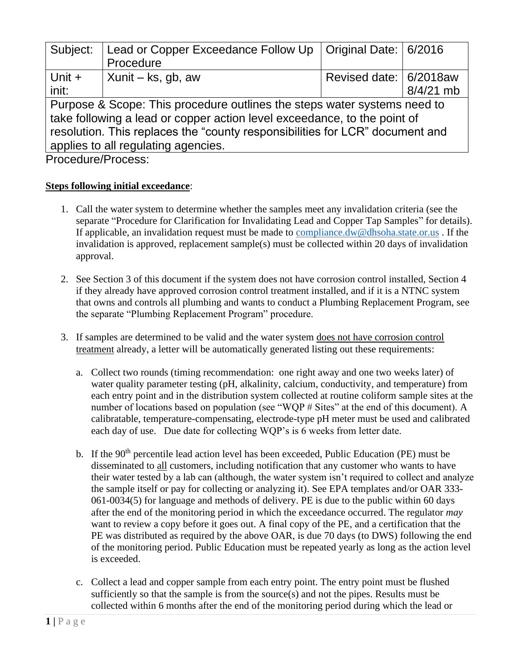| Subject:                                                                     | Lead or Copper Exceedance Follow Up   Original Date:   6/2016<br>Procedure |                        |             |  |  |
|------------------------------------------------------------------------------|----------------------------------------------------------------------------|------------------------|-------------|--|--|
| Unit +                                                                       | Xunit – ks, gb, aw                                                         | Revised date: 6/2018aw |             |  |  |
| init:                                                                        |                                                                            |                        | $8/4/21$ mb |  |  |
| Purpose & Scope: This procedure outlines the steps water systems need to     |                                                                            |                        |             |  |  |
| take following a lead or copper action level exceedance, to the point of     |                                                                            |                        |             |  |  |
| resolution. This replaces the "county responsibilities for LCR" document and |                                                                            |                        |             |  |  |
| applies to all regulating agencies.                                          |                                                                            |                        |             |  |  |
|                                                                              |                                                                            |                        |             |  |  |

Procedure/Process:

### **Steps following initial exceedance**:

- 1. Call the water system to determine whether the samples meet any invalidation criteria (see the separate "Procedure for Clarification for Invalidating Lead and Copper Tap Samples" for details). If applicable, an invalidation request must be made to [compliance.dw@dhsoha.state.or.us](mailto:compliance.dw@dhsoha.state.or.us) . If the invalidation is approved, replacement sample(s) must be collected within 20 days of invalidation approval.
- 2. See Section 3 of this document if the system does not have corrosion control installed, Section 4 if they already have approved corrosion control treatment installed, and if it is a NTNC system that owns and controls all plumbing and wants to conduct a Plumbing Replacement Program, see the separate "Plumbing Replacement Program" procedure.
- 3. If samples are determined to be valid and the water system does not have corrosion control treatment already, a letter will be automatically generated listing out these requirements:
	- a. Collect two rounds (timing recommendation: one right away and one two weeks later) of water quality parameter testing (pH, alkalinity, calcium, conductivity, and temperature) from each entry point and in the distribution system collected at routine coliform sample sites at the number of locations based on population (see "WQP # Sites" at the end of this document). A calibratable, temperature-compensating, electrode-type pH meter must be used and calibrated each day of use. Due date for collecting WQP's is 6 weeks from letter date.
	- b. If the  $90<sup>th</sup>$  percentile lead action level has been exceeded, Public Education (PE) must be disseminated to all customers, including notification that any customer who wants to have their water tested by a lab can (although, the water system isn't required to collect and analyze the sample itself or pay for collecting or analyzing it). See EPA templates and/or OAR 333- 061-0034(5) for language and methods of delivery. PE is due to the public within 60 days after the end of the monitoring period in which the exceedance occurred. The regulator *may* want to review a copy before it goes out. A final copy of the PE, and a certification that the PE was distributed as required by the above OAR, is due 70 days (to DWS) following the end of the monitoring period. Public Education must be repeated yearly as long as the action level is exceeded.
	- c. Collect a lead and copper sample from each entry point. The entry point must be flushed sufficiently so that the sample is from the source(s) and not the pipes. Results must be collected within 6 months after the end of the monitoring period during which the lead or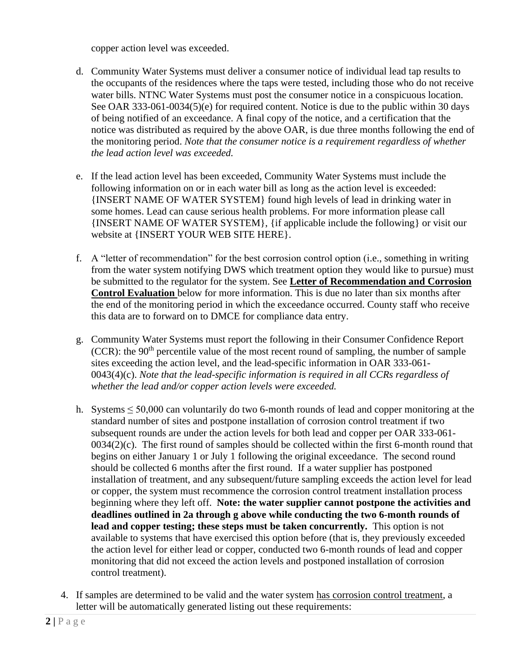copper action level was exceeded.

- d. Community Water Systems must deliver a consumer notice of individual lead tap results to the occupants of the residences where the taps were tested, including those who do not receive water bills. NTNC Water Systems must post the consumer notice in a conspicuous location. See OAR 333-061-0034(5)(e) for required content. Notice is due to the public within 30 days of being notified of an exceedance. A final copy of the notice, and a certification that the notice was distributed as required by the above OAR, is due three months following the end of the monitoring period. *Note that the consumer notice is a requirement regardless of whether the lead action level was exceeded.*
- e. If the lead action level has been exceeded, Community Water Systems must include the following information on or in each water bill as long as the action level is exceeded: {INSERT NAME OF WATER SYSTEM} found high levels of lead in drinking water in some homes. Lead can cause serious health problems. For more information please call {INSERT NAME OF WATER SYSTEM}, {if applicable include the following} or visit our website at {INSERT YOUR WEB SITE HERE}.
- f. A "letter of recommendation" for the best corrosion control option (i.e., something in writing from the water system notifying DWS which treatment option they would like to pursue) must be submitted to the regulator for the system. See **Letter of Recommendation and Corrosion Control Evaluation** below for more information. This is due no later than six months after the end of the monitoring period in which the exceedance occurred. County staff who receive this data are to forward on to DMCE for compliance data entry.
- g. Community Water Systems must report the following in their Consumer Confidence Report (CCR): the  $90<sup>th</sup>$  percentile value of the most recent round of sampling, the number of sample sites exceeding the action level, and the lead-specific information in OAR 333-061- 0043(4)(c). *Note that the lead-specific information is required in all CCRs regardless of whether the lead and/or copper action levels were exceeded.*
- h. Systems ≤ 50,000 can voluntarily do two 6-month rounds of lead and copper monitoring at the standard number of sites and postpone installation of corrosion control treatment if two subsequent rounds are under the action levels for both lead and copper per OAR 333-061-  $0034(2)(c)$ . The first round of samples should be collected within the first 6-month round that begins on either January 1 or July 1 following the original exceedance. The second round should be collected 6 months after the first round. If a water supplier has postponed installation of treatment, and any subsequent/future sampling exceeds the action level for lead or copper, the system must recommence the corrosion control treatment installation process beginning where they left off. **Note: the water supplier cannot postpone the activities and deadlines outlined in 2a through g above while conducting the two 6-month rounds of lead and copper testing; these steps must be taken concurrently.** This option is not available to systems that have exercised this option before (that is, they previously exceeded the action level for either lead or copper, conducted two 6-month rounds of lead and copper monitoring that did not exceed the action levels and postponed installation of corrosion control treatment).
- 4. If samples are determined to be valid and the water system has corrosion control treatment, a letter will be automatically generated listing out these requirements: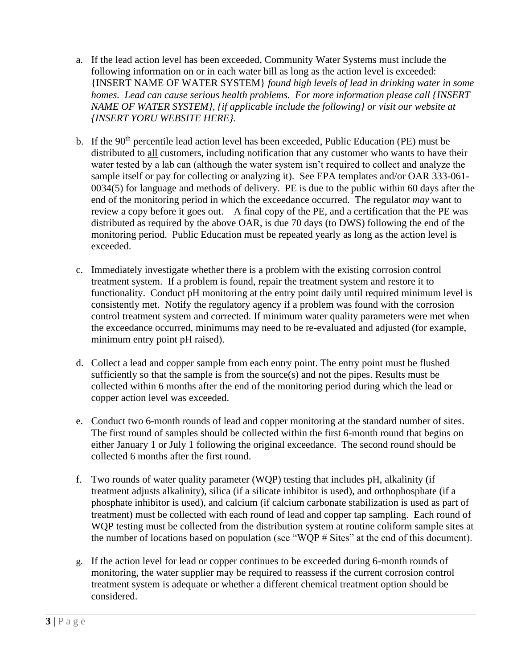- a. If the lead action level has been exceeded, Community Water Systems must include the following information on or in each water bill as long as the action level is exceeded: {INSERT NAME OF WATER SYSTEM} *found high levels of lead in drinking water in some homes. Lead can cause serious health problems. For more information please call {INSERT NAME OF WATER SYSTEM}, {if applicable include the following} or visit our website at {INSERT YORU WEBSITE HERE}.*
- b. If the  $90<sup>th</sup>$  percentile lead action level has been exceeded, Public Education (PE) must be distributed to all customers, including notification that any customer who wants to have their water tested by a lab can (although the water system isn't required to collect and analyze the sample itself or pay for collecting or analyzing it). See EPA templates and/or OAR 333-061- 0034(5) for language and methods of delivery. PE is due to the public within 60 days after the end of the monitoring period in which the exceedance occurred. The regulator *may* want to review a copy before it goes out. A final copy of the PE, and a certification that the PE was distributed as required by the above OAR, is due 70 days (to DWS) following the end of the monitoring period. Public Education must be repeated yearly as long as the action level is exceeded.
- c. Immediately investigate whether there is a problem with the existing corrosion control treatment system. If a problem is found, repair the treatment system and restore it to functionality. Conduct pH monitoring at the entry point daily until required minimum level is consistently met. Notify the regulatory agency if a problem was found with the corrosion control treatment system and corrected. If minimum water quality parameters were met when the exceedance occurred, minimums may need to be re-evaluated and adjusted (for example, minimum entry point pH raised).
- d. Collect a lead and copper sample from each entry point. The entry point must be flushed sufficiently so that the sample is from the source(s) and not the pipes. Results must be collected within 6 months after the end of the monitoring period during which the lead or copper action level was exceeded.
- e. Conduct two 6-month rounds of lead and copper monitoring at the standard number of sites. The first round of samples should be collected within the first 6-month round that begins on either January 1 or July 1 following the original exceedance. The second round should be collected 6 months after the first round.
- f. Two rounds of water quality parameter (WQP) testing that includes pH, alkalinity (if treatment adjusts alkalinity), silica (if a silicate inhibitor is used), and orthophosphate (if a phosphate inhibitor is used), and calcium (if calcium carbonate stabilization is used as part of treatment) must be collected with each round of lead and copper tap sampling. Each round of WQP testing must be collected from the distribution system at routine coliform sample sites at the number of locations based on population (see "WQP # Sites" at the end of this document).
- g. If the action level for lead or copper continues to be exceeded during 6-month rounds of monitoring, the water supplier may be required to reassess if the current corrosion control treatment system is adequate or whether a different chemical treatment option should be considered.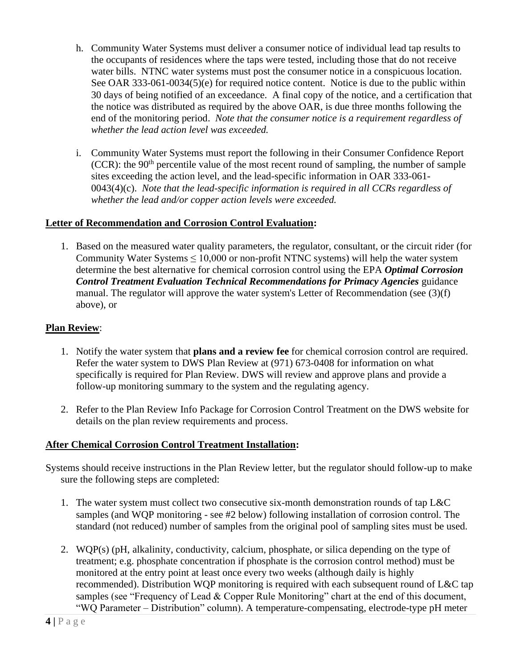- h. Community Water Systems must deliver a consumer notice of individual lead tap results to the occupants of residences where the taps were tested, including those that do not receive water bills. NTNC water systems must post the consumer notice in a conspicuous location. See OAR 333-061-0034(5)(e) for required notice content. Notice is due to the public within 30 days of being notified of an exceedance. A final copy of the notice, and a certification that the notice was distributed as required by the above OAR, is due three months following the end of the monitoring period. *Note that the consumer notice is a requirement regardless of whether the lead action level was exceeded.*
- i. Community Water Systems must report the following in their Consumer Confidence Report (CCR): the  $90<sup>th</sup>$  percentile value of the most recent round of sampling, the number of sample sites exceeding the action level, and the lead-specific information in OAR 333-061- 0043(4)(c). *Note that the lead-specific information is required in all CCRs regardless of whether the lead and/or copper action levels were exceeded.*

#### **Letter of Recommendation and Corrosion Control Evaluation:**

1. Based on the measured water quality parameters, the regulator, consultant, or the circuit rider (for Community Water Systems  $\leq 10,000$  or non-profit NTNC systems) will help the water system determine the best alternative for chemical corrosion control using the EPA *Optimal Corrosion Control Treatment Evaluation Technical Recommendations for Primacy Agencies guidance* manual. The regulator will approve the water system's Letter of Recommendation (see (3)(f) above), or

### **Plan Review**:

- 1. Notify the water system that **plans and a review fee** for chemical corrosion control are required. Refer the water system to DWS Plan Review at (971) 673-0408 for information on what specifically is required for Plan Review. DWS will review and approve plans and provide a follow-up monitoring summary to the system and the regulating agency.
- 2. Refer to the Plan Review Info Package for Corrosion Control Treatment on the DWS website for details on the plan review requirements and process.

#### **After Chemical Corrosion Control Treatment Installation:**

- Systems should receive instructions in the Plan Review letter, but the regulator should follow-up to make sure the following steps are completed:
	- 1. The water system must collect two consecutive six-month demonstration rounds of tap L&C samples (and WQP monitoring - see #2 below) following installation of corrosion control. The standard (not reduced) number of samples from the original pool of sampling sites must be used.
	- 2. WQP(s) (pH, alkalinity, conductivity, calcium, phosphate, or silica depending on the type of treatment; e.g. phosphate concentration if phosphate is the corrosion control method) must be monitored at the entry point at least once every two weeks (although daily is highly recommended). Distribution WQP monitoring is required with each subsequent round of L&C tap samples (see "Frequency of Lead & Copper Rule Monitoring" chart at the end of this document, "WQ Parameter – Distribution" column). A temperature-compensating, electrode-type pH meter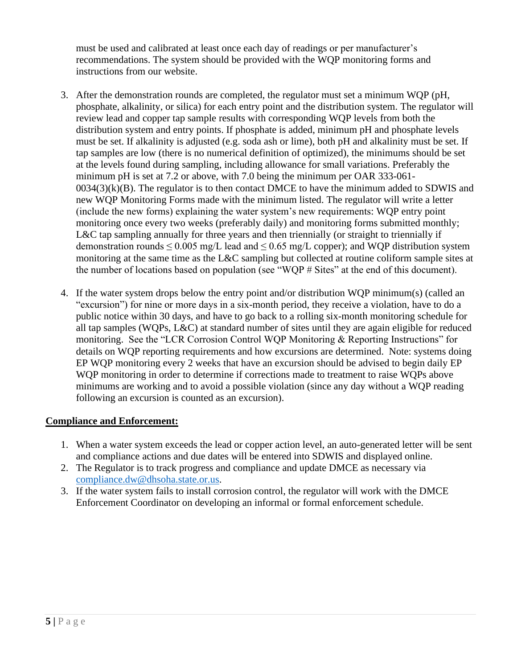must be used and calibrated at least once each day of readings or per manufacturer's recommendations. The system should be provided with the WQP monitoring forms and instructions from our website.

- 3. After the demonstration rounds are completed, the regulator must set a minimum WQP (pH, phosphate, alkalinity, or silica) for each entry point and the distribution system. The regulator will review lead and copper tap sample results with corresponding WQP levels from both the distribution system and entry points. If phosphate is added, minimum pH and phosphate levels must be set. If alkalinity is adjusted (e.g. soda ash or lime), both pH and alkalinity must be set. If tap samples are low (there is no numerical definition of optimized), the minimums should be set at the levels found during sampling, including allowance for small variations. Preferably the minimum pH is set at 7.2 or above, with 7.0 being the minimum per OAR 333-061-  $0034(3)(k)(B)$ . The regulator is to then contact DMCE to have the minimum added to SDWIS and new WQP Monitoring Forms made with the minimum listed. The regulator will write a letter (include the new forms) explaining the water system's new requirements: WQP entry point monitoring once every two weeks (preferably daily) and monitoring forms submitted monthly; L&C tap sampling annually for three years and then triennially (or straight to triennially if demonstration rounds  $\leq 0.005$  mg/L lead and  $\leq 0.65$  mg/L copper); and WQP distribution system monitoring at the same time as the L&C sampling but collected at routine coliform sample sites at the number of locations based on population (see "WQP # Sites" at the end of this document).
- 4. If the water system drops below the entry point and/or distribution WQP minimum(s) (called an "excursion") for nine or more days in a six-month period, they receive a violation, have to do a public notice within 30 days, and have to go back to a rolling six-month monitoring schedule for all tap samples (WQPs, L&C) at standard number of sites until they are again eligible for reduced monitoring. See the "LCR Corrosion Control WQP Monitoring & Reporting Instructions" for details on WQP reporting requirements and how excursions are determined. Note: systems doing EP WQP monitoring every 2 weeks that have an excursion should be advised to begin daily EP WQP monitoring in order to determine if corrections made to treatment to raise WQPs above minimums are working and to avoid a possible violation (since any day without a WQP reading following an excursion is counted as an excursion).

## **Compliance and Enforcement:**

- 1. When a water system exceeds the lead or copper action level, an auto-generated letter will be sent and compliance actions and due dates will be entered into SDWIS and displayed online.
- 2. The Regulator is to track progress and compliance and update DMCE as necessary via [compliance.dw@dhsoha.state.or.us.](mailto:compliance.dw@dhsoha.state.or.us)
- 3. If the water system fails to install corrosion control, the regulator will work with the DMCE Enforcement Coordinator on developing an informal or formal enforcement schedule.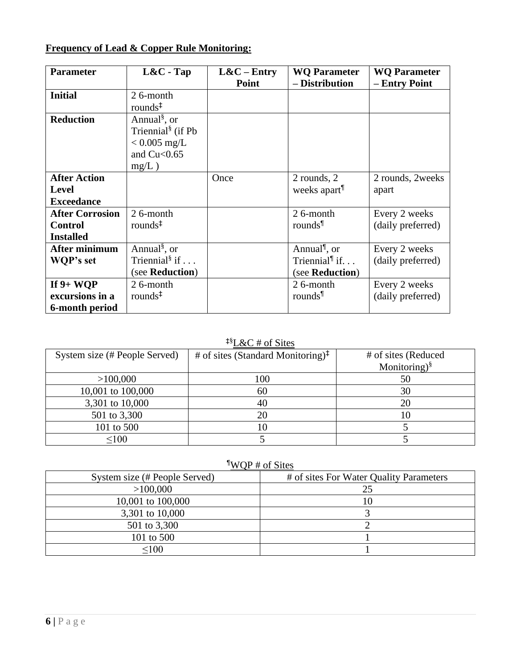# **Frequency of Lead & Copper Rule Monitoring:**

| <b>Parameter</b>       | $L&C$ - Tap                       | $L&C-Entry$ | <b>WQ Parameter</b>                      | <b>WQ Parameter</b> |
|------------------------|-----------------------------------|-------------|------------------------------------------|---------------------|
|                        |                                   | Point       | - Distribution                           | - Entry Point       |
| <b>Initial</b>         | 26-month                          |             |                                          |                     |
|                        | rounds $\ddagger$                 |             |                                          |                     |
| <b>Reduction</b>       | Annual <sup>§</sup> , or          |             |                                          |                     |
|                        | Triennial <sup>§</sup> (if Pb     |             |                                          |                     |
|                        | $< 0.005$ mg/L                    |             |                                          |                     |
|                        | and $Cu < 0.65$                   |             |                                          |                     |
|                        | $mg/L$ )                          |             |                                          |                     |
| <b>After Action</b>    |                                   | Once        | 2 rounds, 2                              | 2 rounds, 2weeks    |
| <b>Level</b>           |                                   |             | weeks apart                              | apart               |
| <b>Exceedance</b>      |                                   |             |                                          |                     |
| <b>After Corrosion</b> | 26-month                          |             | 26-month                                 | Every 2 weeks       |
| <b>Control</b>         | rounds $\pm$                      |             | rounds                                   | (daily preferred)   |
| <b>Installed</b>       |                                   |             |                                          |                     |
| After minimum          | Annual <sup>§</sup> , or          |             | Annual <sup><sup>1</sup>, or</sup>       | Every 2 weeks       |
| WQP's set              | Triennial <sup>§</sup> if $\dots$ |             | Triennial <sup><math>\P</math></sup> if. | (daily preferred)   |
|                        | (see Reduction)                   |             | (see Reduction)                          |                     |
| If $9+ WQP$            | 26-month                          |             | 26-month                                 | Every 2 weeks       |
| excursions in a        | rounds <sup>‡</sup>               |             | rounds                                   | (daily preferred)   |
| 6-month period         |                                   |             |                                          |                     |

# ‡§L&C # of Sites

| System size (# People Served) | # of sites (Standard Monitoring) $\ddagger$ | # of sites (Reduced       |
|-------------------------------|---------------------------------------------|---------------------------|
|                               |                                             | Monitoring) $\frac{8}{3}$ |
| >100,000                      | 100                                         | 50                        |
| 10,001 to 100,000             | 60                                          | 30                        |
| 3,301 to 10,000               |                                             | 20                        |
| 501 to 3,300                  |                                             |                           |
| 101 to 500                    |                                             |                           |
| < 100                         |                                             |                           |

# ¶WQP # of Sites

| System size (# People Served) | # of sites For Water Quality Parameters |
|-------------------------------|-----------------------------------------|
| >100,000                      | 25                                      |
| 10,001 to 100,000             | 10                                      |
| 3,301 to 10,000               |                                         |
| 501 to 3,300                  |                                         |
| 101 to 500                    |                                         |
| $<$ 100                       |                                         |